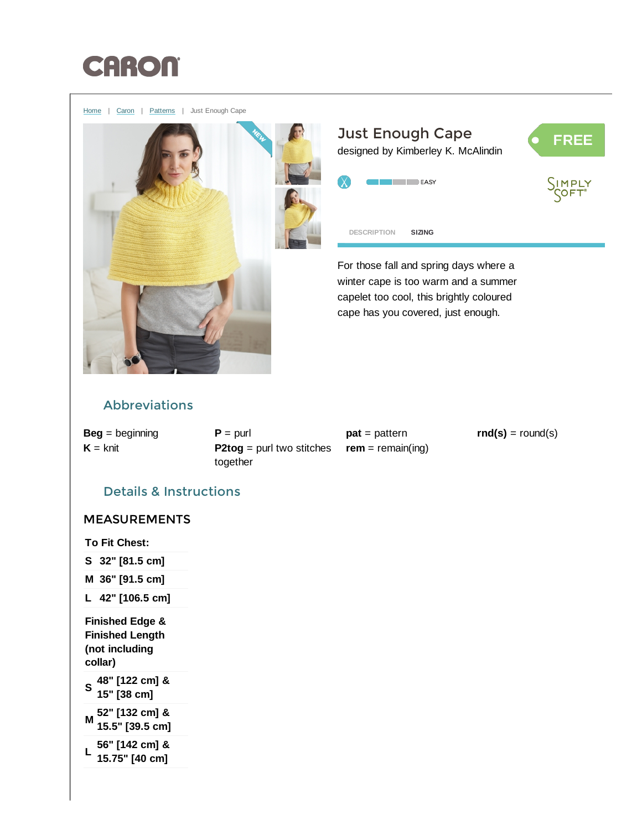

[Home](http://www.yarnspirations.com/) | [Caron](http://www.yarnspirations.com/caron) | [Patterns](http://www.yarnspirations.com/patterns) | Just Enough Cape



<span id="page-0-0"></span>For those fall and spring days where a winter cape is too warm and a summer capelet too cool, this brightly coloured cape has you covered, just enough.

# Abbreviations

 $Beg =$  beginning  $K =$  knit

 $P =$  purl  $P2tog =$  purl two stitches together

 $pat = pattern$  $rem = remain(ing)$   $rnd(s) = round(s)$ 

## Details & Instructions

## MEASUREMENTS

To Fit Chest:

- S 32" [81.5 cm]
- M 36" [91.5 cm]
- L 42" [106.5 cm]

Finished Edge & Finished Length (not including collar)

S 48" [122 cm] & 15" [38 cm]

M 52" [132 cm] & 15.5" [39.5 cm]

L 56" [142 cm] & 15.75" [40 cm]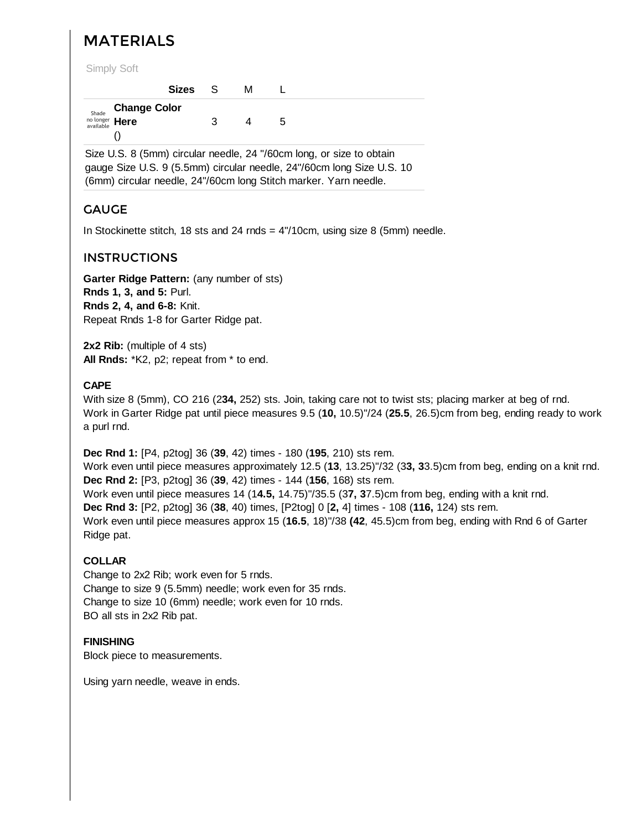# MATERIALS

Simply Soft

|                    | Sizes S |   | м |   |
|--------------------|---------|---|---|---|
| Shade Change Color |         |   |   |   |
| no longer Here     |         | ຈ | 4 | 5 |
|                    |         |   |   |   |

Size U.S. 8 (5mm) circular needle, 24 "/60cm long, or size to obtain gauge Size U.S. 9 (5.5mm) circular needle, 24"/60cm long Size U.S. 10 (6mm) circular needle, 24"/60cm long Stitch marker. Yarn needle.

## GAUGE

In Stockinette stitch, 18 sts and 24 rnds = 4"/10cm, using size 8 (5mm) needle.

### INSTRUCTIONS

Garter Ridge Pattern: (any number of sts) Rnds 1, 3, and 5: Purl. Rnds 2, 4, and 6-8: Knit. Repeat Rnds 1-8 for Garter Ridge pat.

2x2 Rib: (multiple of 4 sts) All Rnds: \*K2, p2; repeat from \* to end.

#### CAPE

With size 8 (5mm), CO 216 (234, 252) sts. Join, taking care not to twist sts; placing marker at beg of rnd. Work in Garter Ridge pat until piece measures 9.5 (10, 10.5)"/24 (25.5, 26.5)cm from beg, ending ready to work a purl rnd.

Dec Rnd 1: [P4, p2tog] 36 (39, 42) times - 180 (195, 210) sts rem.

Work even until piece measures approximately 12.5 (13, 13.25)"/32 (33, 33.5)cm from beg, ending on a knit rnd. Dec Rnd 2: [P3, p2tog] 36 (39, 42) times - 144 (156, 168) sts rem.

Work even until piece measures 14 (14.5, 14.75)"/35.5 (37, 37.5)cm from beg, ending with a knit rnd.

Dec Rnd 3: [P2, p2tog] 36 (38, 40) times, [P2tog] 0 [2, 4] times - 108 (116, 124) sts rem.

Work even until piece measures approx 15 (16.5, 18)"/38 (42, 45.5)cm from beg, ending with Rnd 6 of Garter Ridge pat.

#### COLLAR

Change to 2x2 Rib; work even for 5 rnds. Change to size 9 (5.5mm) needle; work even for 35 rnds. Change to size 10 (6mm) needle; work even for 10 rnds. BO all sts in 2x2 Rib pat.

#### **FINISHING**

Block piece to measurements.

Using yarn needle, weave in ends.